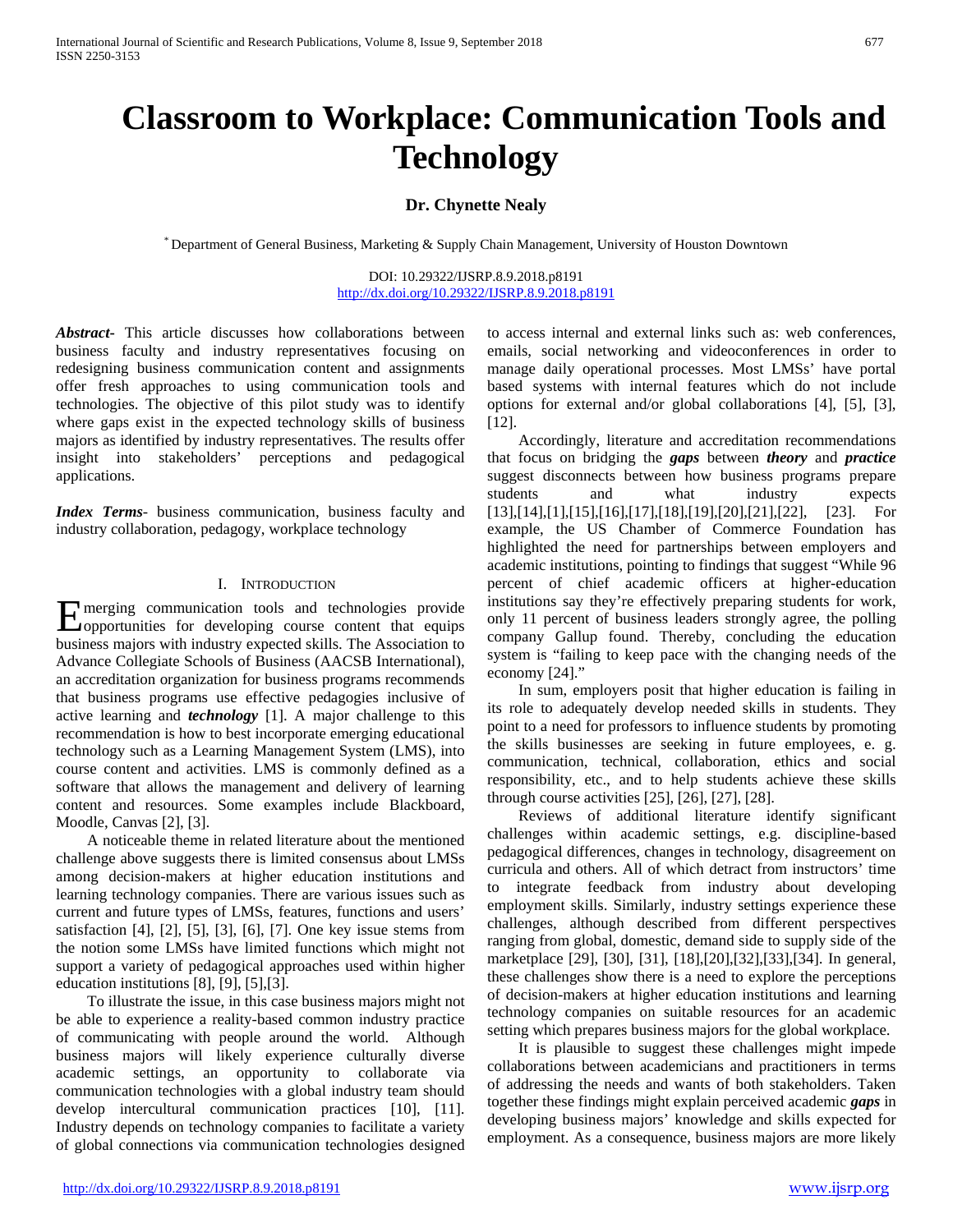# **Classroom to Workplace: Communication Tools and Technology**

## **Dr. Chynette Nealy**

\* Department of General Business, Marketing & Supply Chain Management, University of Houston Downtown

DOI: 10.29322/IJSRP.8.9.2018.p8191 <http://dx.doi.org/10.29322/IJSRP.8.9.2018.p8191>

*Abstract***-** This article discusses how collaborations between business faculty and industry representatives focusing on redesigning business communication content and assignments offer fresh approaches to using communication tools and technologies. The objective of this pilot study was to identify where gaps exist in the expected technology skills of business majors as identified by industry representatives. The results offer insight into stakeholders' perceptions and pedagogical applications.

*Index Terms*- business communication, business faculty and industry collaboration, pedagogy, workplace technology

#### I. INTRODUCTION

merging communication tools and technologies provide E merging communication tools and technologies provide<br>
comportunities for developing course content that equips business majors with industry expected skills. The Association to Advance Collegiate Schools of Business (AACSB International), an accreditation organization for business programs recommends that business programs use effective pedagogies inclusive of active learning and *technology* [1]. A major challenge to this recommendation is how to best incorporate emerging educational technology such as a Learning Management System (LMS), into course content and activities. LMS is commonly defined as a software that allows the management and delivery of learning content and resources. Some examples include Blackboard, Moodle, Canvas [2], [3].

 A noticeable theme in related literature about the mentioned challenge above suggests there is limited consensus about LMSs among decision-makers at higher education institutions and learning technology companies. There are various issues such as current and future types of LMSs, features, functions and users' satisfaction [4], [2], [5], [3], [6], [7]. One key issue stems from the notion some LMSs have limited functions which might not support a variety of pedagogical approaches used within higher education institutions [8], [9], [5],[3].

 To illustrate the issue, in this case business majors might not be able to experience a reality-based common industry practice of communicating with people around the world. Although business majors will likely experience culturally diverse academic settings, an opportunity to collaborate via communication technologies with a global industry team should develop intercultural communication practices [10], [11]. Industry depends on technology companies to facilitate a variety of global connections via communication technologies designed

to access internal and external links such as: web conferences, emails, social networking and videoconferences in order to manage daily operational processes. Most LMSs' have portal based systems with internal features which do not include options for external and/or global collaborations [4], [5], [3], [12].

 Accordingly, literature and accreditation recommendations that focus on bridging the *gaps* between *theory* and *practice*  suggest disconnects between how business programs prepare students and what industry expects [13],[14],[1],[15],[16],[17],[18],[19],[20],[21],[22], [23]. For example, the US Chamber of Commerce Foundation has highlighted the need for partnerships between employers and academic institutions, pointing to findings that suggest "While 96 percent of chief academic officers at higher-education institutions say they're effectively preparing students for work, only 11 percent of business leaders strongly agree, the polling company Gallup found. Thereby, concluding the education system is "failing to keep pace with the changing needs of the economy [24]."

 In sum, employers posit that higher education is failing in its role to adequately develop needed skills in students. They point to a need for professors to influence students by promoting the skills businesses are seeking in future employees, e. g. communication, technical, collaboration, ethics and social responsibility, etc., and to help students achieve these skills through course activities [25], [26], [27], [28].

 Reviews of additional literature identify significant challenges within academic settings, e.g. discipline-based pedagogical differences, changes in technology, disagreement on curricula and others. All of which detract from instructors' time to integrate feedback from industry about developing employment skills. Similarly, industry settings experience these challenges, although described from different perspectives ranging from global, domestic, demand side to supply side of the marketplace [29], [30], [31], [18],[20],[32],[33],[34]. In general, these challenges show there is a need to explore the perceptions of decision-makers at higher education institutions and learning technology companies on suitable resources for an academic setting which prepares business majors for the global workplace.

 It is plausible to suggest these challenges might impede collaborations between academicians and practitioners in terms of addressing the needs and wants of both stakeholders. Taken together these findings might explain perceived academic *gaps* in developing business majors' knowledge and skills expected for employment. As a consequence, business majors are more likely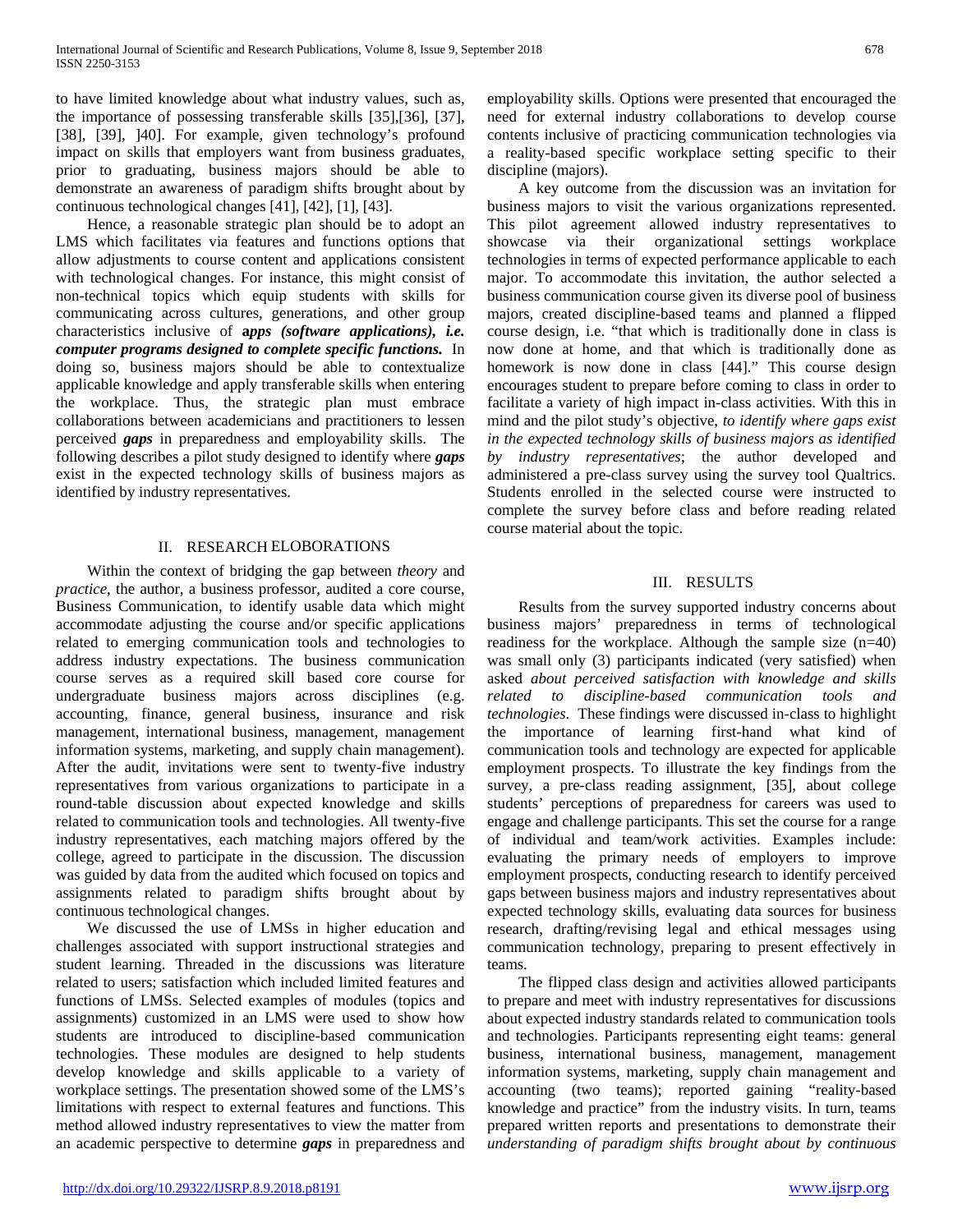to have limited knowledge about what industry values, such as, the importance of possessing transferable skills [35],[36], [37], [38], [39], [40]. For example, given technology's profound impact on skills that employers want from business graduates, prior to graduating, business majors should be able to demonstrate an awareness of paradigm shifts brought about by continuous technological changes [41], [42], [1], [43].

 Hence, a reasonable strategic plan should be to adopt an LMS which facilitates via features and functions options that allow adjustments to course content and applications consistent with technological changes. For instance, this might consist of non-technical topics which equip students with skills for communicating across cultures, generations, and other group characteristics inclusive of **a***pps (software applications), i.e. computer programs designed to complete specific functions.* In doing so, business majors should be able to contextualize applicable knowledge and apply transferable skills when entering the workplace. Thus, the strategic plan must embrace collaborations between academicians and practitioners to lessen perceived *gaps* in preparedness and employability skills. The following describes a pilot study designed to identify where *gaps*  exist in the expected technology skills of business majors as identified by industry representatives.

## II. RESEARCH ELOBORATIONS

 Within the context of bridging the gap between *theory* and *practice*, the author, a business professor, audited a core course, Business Communication, to identify usable data which might accommodate adjusting the course and/or specific applications related to emerging communication tools and technologies to address industry expectations. The business communication course serves as a required skill based core course for undergraduate business majors across disciplines (e.g. accounting, finance, general business, insurance and risk management, international business, management, management information systems, marketing, and supply chain management). After the audit, invitations were sent to twenty-five industry representatives from various organizations to participate in a round-table discussion about expected knowledge and skills related to communication tools and technologies. All twenty-five industry representatives, each matching majors offered by the college, agreed to participate in the discussion. The discussion was guided by data from the audited which focused on topics and assignments related to paradigm shifts brought about by continuous technological changes.

 We discussed the use of LMSs in higher education and challenges associated with support instructional strategies and student learning. Threaded in the discussions was literature related to users; satisfaction which included limited features and functions of LMSs. Selected examples of modules (topics and assignments) customized in an LMS were used to show how students are introduced to discipline-based communication technologies. These modules are designed to help students develop knowledge and skills applicable to a variety of workplace settings. The presentation showed some of the LMS's limitations with respect to external features and functions. This method allowed industry representatives to view the matter from an academic perspective to determine *gaps* in preparedness and employability skills. Options were presented that encouraged the need for external industry collaborations to develop course contents inclusive of practicing communication technologies via a reality-based specific workplace setting specific to their discipline (majors).

 A key outcome from the discussion was an invitation for business majors to visit the various organizations represented. This pilot agreement allowed industry representatives to showcase via their organizational settings workplace technologies in terms of expected performance applicable to each major. To accommodate this invitation, the author selected a business communication course given its diverse pool of business majors, created discipline-based teams and planned a flipped course design, i.e. "that which is traditionally done in class is now done at home, and that which is traditionally done as homework is now done in class [44]." This course design encourages student to prepare before coming to class in order to facilitate a variety of high impact in-class activities. With this in mind and the pilot study's objective, *to identify where gaps exist in the expected technology skills of business majors as identified by industry representatives*; the author developed and administered a pre-class survey using the survey tool Qualtrics. Students enrolled in the selected course were instructed to complete the survey before class and before reading related course material about the topic.

## III. RESULTS

 Results from the survey supported industry concerns about business majors' preparedness in terms of technological readiness for the workplace. Although the sample size (n=40) was small only (3) participants indicated (very satisfied) when asked *about perceived satisfaction with knowledge and skills related to discipline-based communication tools and technologies.* These findings were discussed in-class to highlight the importance of learning first-hand what kind of communication tools and technology are expected for applicable employment prospects. To illustrate the key findings from the survey, a pre-class reading assignment, [35], about college students' perceptions of preparedness for careers was used to engage and challenge participants. This set the course for a range of individual and team/work activities. Examples include: evaluating the primary needs of employers to improve employment prospects, conducting research to identify perceived gaps between business majors and industry representatives about expected technology skills, evaluating data sources for business research, drafting/revising legal and ethical messages using communication technology, preparing to present effectively in teams.

 The flipped class design and activities allowed participants to prepare and meet with industry representatives for discussions about expected industry standards related to communication tools and technologies. Participants representing eight teams: general business, international business, management, management information systems, marketing, supply chain management and accounting (two teams); reported gaining "reality-based knowledge and practice" from the industry visits. In turn, teams prepared written reports and presentations to demonstrate their *understanding of paradigm shifts brought about by continuous*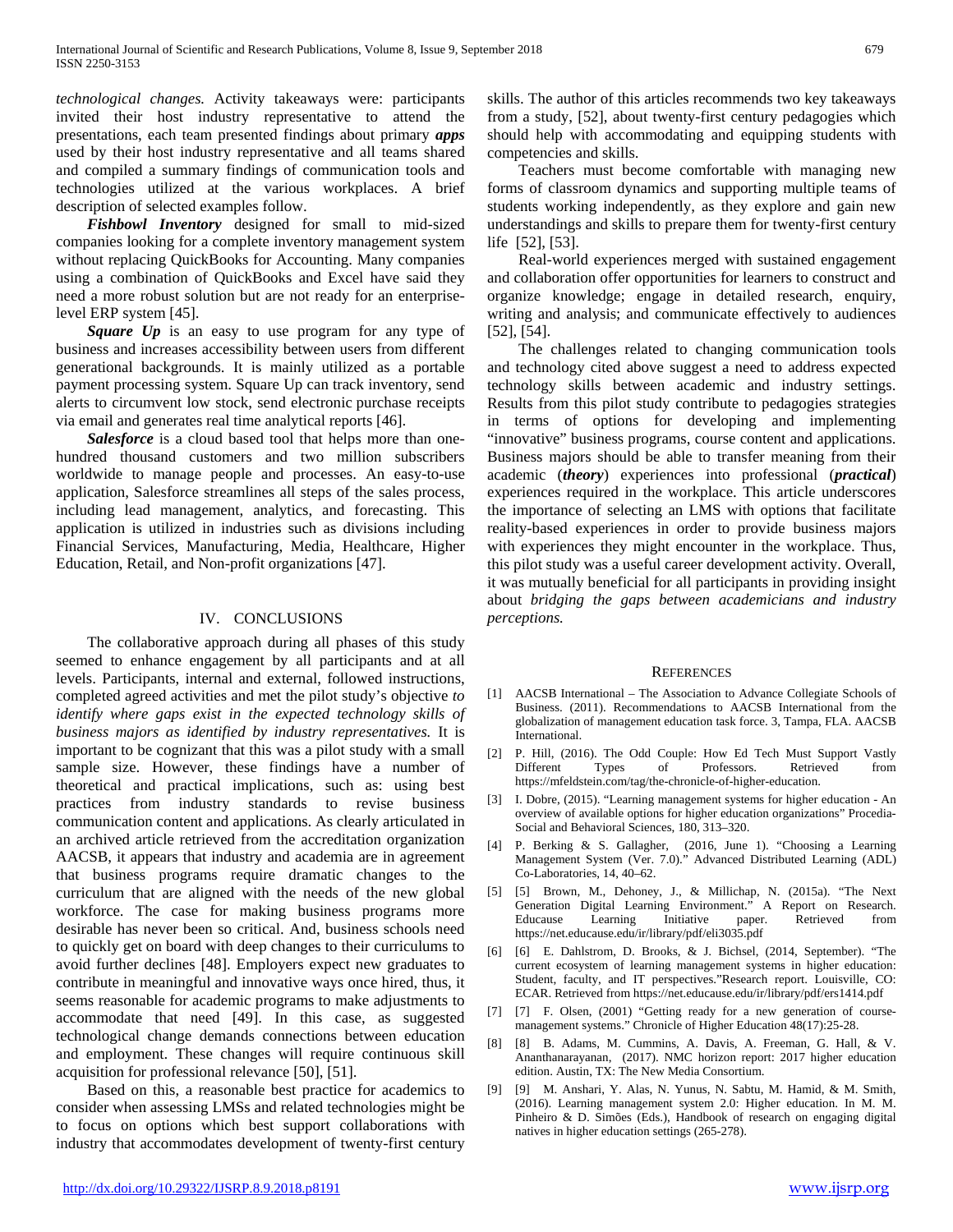*technological changes.* Activity takeaways were: participants invited their host industry representative to attend the presentations, each team presented findings about primary *apps*  used by their host industry representative and all teams shared and compiled a summary findings of communication tools and technologies utilized at the various workplaces. A brief description of selected examples follow.

 *Fishbowl Inventory* designed for small to mid-sized companies looking for a complete inventory management system without replacing QuickBooks for Accounting. Many companies using a combination of QuickBooks and Excel have said they need a more robust solution but are not ready for an enterpriselevel ERP system [45].

*Square Up* is an easy to use program for any type of business and increases accessibility between users from different generational backgrounds. It is mainly utilized as a portable payment processing system. Square Up can track inventory, send alerts to circumvent low stock, send electronic purchase receipts via email and generates real time analytical reports [46].

 *Salesforce* is a cloud based tool that helps more than onehundred thousand customers and two million subscribers worldwide to manage people and processes. An easy-to-use application, Salesforce streamlines all steps of the sales process, including lead management, analytics, and forecasting. This application is utilized in industries such as divisions including Financial Services, Manufacturing, Media, Healthcare, Higher Education, Retail, and Non-profit organizations [47].

#### IV. CONCLUSIONS

 The collaborative approach during all phases of this study seemed to enhance engagement by all participants and at all levels. Participants, internal and external, followed instructions, completed agreed activities and met the pilot study's objective *to identify where gaps exist in the expected technology skills of business majors as identified by industry representatives.* It is important to be cognizant that this was a pilot study with a small sample size. However, these findings have a number of theoretical and practical implications, such as: using best practices from industry standards to revise business communication content and applications. As clearly articulated in an archived article retrieved from the accreditation organization AACSB, it appears that industry and academia are in agreement that business programs require dramatic changes to the curriculum that are aligned with the needs of the new global workforce. The case for making business programs more desirable has never been so critical. And, business schools need to quickly get on board with deep changes to their curriculums to avoid further declines [48]. Employers expect new graduates to contribute in meaningful and innovative ways once hired, thus, it seems reasonable for academic programs to make adjustments to accommodate that need [49]. In this case, as suggested technological change demands connections between education and employment. These changes will require continuous skill acquisition for professional relevance [50], [51].

 Based on this, a reasonable best practice for academics to consider when assessing LMSs and related technologies might be to focus on options which best support collaborations with industry that accommodates development of twenty-first century

skills. The author of this articles recommends two key takeaways from a study, [52], about twenty-first century pedagogies which should help with accommodating and equipping students with competencies and skills.

 Teachers must become comfortable with managing new forms of classroom dynamics and supporting multiple teams of students working independently, as they explore and gain new understandings and skills to prepare them for twenty-first century life [52], [53].

 Real-world experiences merged with sustained engagement and collaboration offer opportunities for learners to construct and organize knowledge; engage in detailed research, enquiry, writing and analysis; and communicate effectively to audiences [52], [54].

 The challenges related to changing communication tools and technology cited above suggest a need to address expected technology skills between academic and industry settings. Results from this pilot study contribute to pedagogies strategies in terms of options for developing and implementing "innovative" business programs, course content and applications. Business majors should be able to transfer meaning from their academic (*theory*) experiences into professional (*practical*) experiences required in the workplace. This article underscores the importance of selecting an LMS with options that facilitate reality-based experiences in order to provide business majors with experiences they might encounter in the workplace. Thus, this pilot study was a useful career development activity. Overall, it was mutually beneficial for all participants in providing insight about *bridging the gaps between academicians and industry perceptions.* 

#### **REFERENCES**

- [1] AACSB International The Association to Advance Collegiate Schools of Business. (2011). Recommendations to AACSB International from the globalization of management education task force. 3, Tampa, FLA. AACSB International.
- [2] P. Hill, (2016). The Odd Couple: How Ed Tech Must Support Vastly Types of Professors. Retrieved from https://mfeldstein.com/tag/the-chronicle-of-higher-education.
- [3] I. Dobre, (2015). "Learning management systems for higher education An overview of available options for higher education organizations" Procedia-Social and Behavioral Sciences, 180, 313–320.
- [4] P. Berking & S. Gallagher, (2016, June 1). "Choosing a Learning Management System (Ver. 7.0)." Advanced Distributed Learning (ADL) Co-Laboratories, 14, 40–62.
- [5] [5] Brown, M., Dehoney, J., & Millichap, N. (2015a). "The Next Generation Digital Learning Environment." A Report on Research.<br>
Educause Learning Initiative paper. Retrieved from Educause Learning Initiative paper. Retrieved from https://net.educause.edu/ir/library/pdf/eli3035.pdf
- [6] [6] E. Dahlstrom, D. Brooks, & J. Bichsel, (2014, September). "The current ecosystem of learning management systems in higher education: Student, faculty, and IT perspectives."Research report. Louisville, CO: ECAR. Retrieved from https://net.educause.edu/ir/library/pdf/ers1414.pdf
- [7] [7] F. Olsen, (2001) "Getting ready for a new generation of coursemanagement systems." Chronicle of Higher Education 48(17):25-28.
- [8] [8] B. Adams, M. Cummins, A. Davis, A. Freeman, G. Hall, & V. Ananthanarayanan, (2017). NMC horizon report: 2017 higher education edition. Austin, TX: The New Media Consortium.
- [9] [9] M. Anshari, Y. Alas, N. Yunus, N. Sabtu, M. Hamid, & M. Smith, (2016). Learning management system 2.0: Higher education. In M. M. Pinheiro & D. Simões (Eds.), Handbook of research on engaging digital natives in higher education settings (265-278).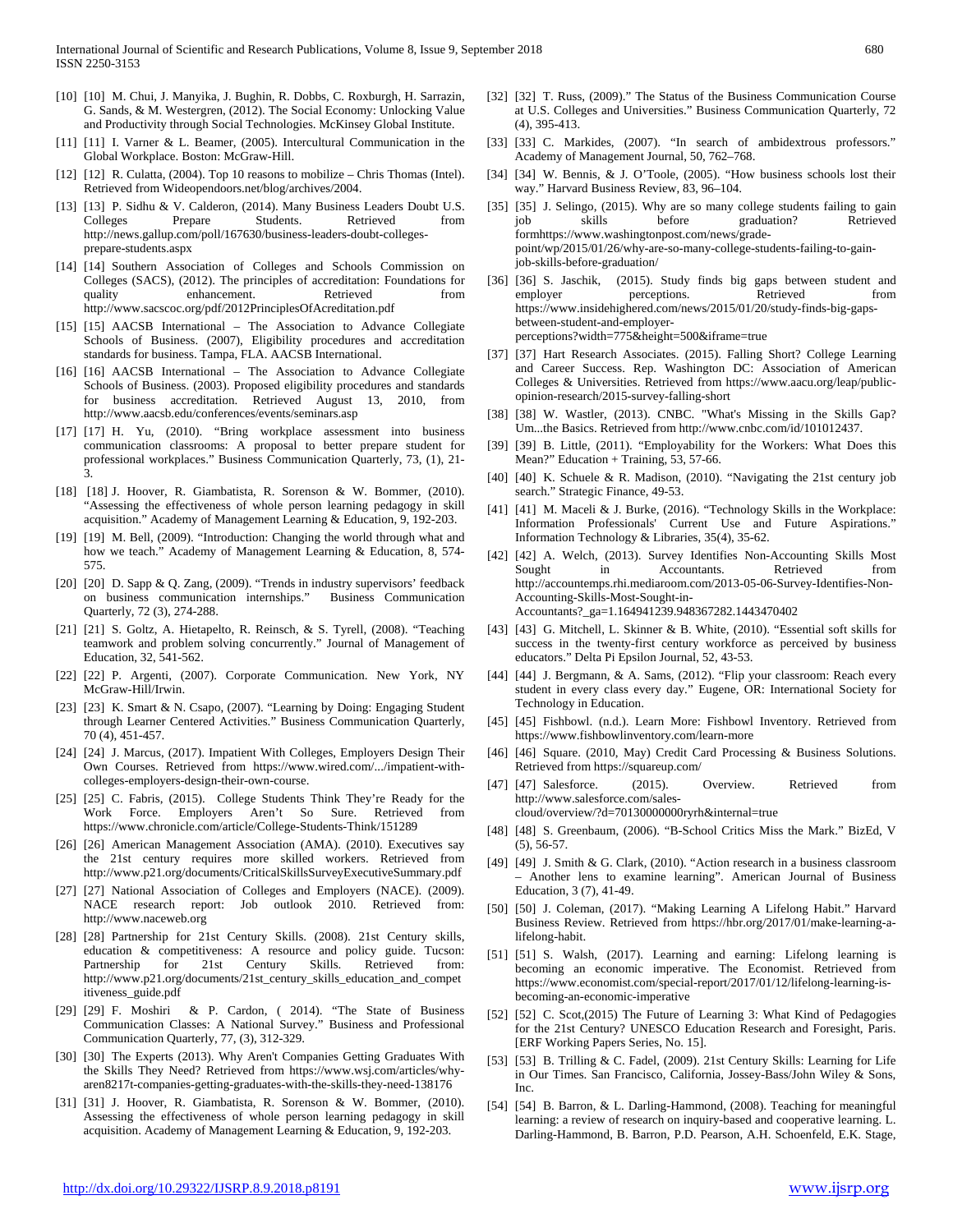- [10] [10] M. Chui, J. Manyika, J. Bughin, R. Dobbs, C. Roxburgh, H. Sarrazin, G. Sands, & M. Westergren, (2012). The Social Economy: Unlocking Value and Productivity through Social Technologies. McKinsey Global Institute.
- [11] [11] I. Varner & L. Beamer, (2005). Intercultural Communication in the Global Workplace. Boston: McGraw-Hill.
- [12] [12] R. Culatta, (2004). Top 10 reasons to mobilize Chris Thomas (Intel). Retrieved from Wideopendoors.net/blog/archives/2004.
- [13] [13] P. Sidhu & V. Calderon, (2014). Many Business Leaders Doubt U.S. Colleges Prepare Students. Retrieved from http://news.gallup.com/poll/167630/business-leaders-doubt-collegesprepare-students.aspx
- [14] [14] Southern Association of Colleges and Schools Commission on Colleges (SACS), (2012). The principles of accreditation: Foundations for quality enhancement. Retrieved from http://www.sacscoc.org/pdf/2012PrinciplesOfAcreditation.pdf
- [15] [15] AACSB International The Association to Advance Collegiate Schools of Business. (2007), Eligibility procedures and accreditation standards for business. Tampa, FLA. AACSB International.
- [16] [16] AACSB International The Association to Advance Collegiate Schools of Business. (2003). Proposed eligibility procedures and standards for business accreditation. Retrieved August 13, 2010, from http://www.aacsb.edu/conferences/events/seminars.asp
- [17] [17] H. Yu, (2010). "Bring workplace assessment into business communication classrooms: A proposal to better prepare student for professional workplaces." Business Communication Quarterly, 73, (1), 21- 3.
- [18] [18] J. Hoover, R. Giambatista, R. Sorenson & W. Bommer, (2010). "Assessing the effectiveness of whole person learning pedagogy in skill acquisition." Academy of Management Learning & Education, 9, 192-203.
- [19] [19] M. Bell, (2009). "Introduction: Changing the world through what and how we teach." Academy of Management Learning & Education, 8, 574- 575.
- [20] [20] D. Sapp & Q. Zang, (2009). "Trends in industry supervisors' feedback on business communication internships." Business Communication Quarterly, 72 (3), 274-288.
- [21] [21] S. Goltz, A. Hietapelto, R. Reinsch, & S. Tyrell, (2008). "Teaching teamwork and problem solving concurrently." Journal of Management of Education, 32, 541-562.
- [22] [22] P. Argenti, (2007). Corporate Communication. New York, NY McGraw-Hill/Irwin.
- [23] [23] K. Smart & N. Csapo, (2007). "Learning by Doing: Engaging Student through Learner Centered Activities." Business Communication Quarterly, 70 (4), 451-457.
- [24] [24] J. Marcus, (2017). Impatient With Colleges, Employers Design Their Own Courses. Retrieved from https://www.wired.com/.../impatient-withcolleges-employers-design-their-own-course.
- [25] [25] C. Fabris, (2015). College Students Think They're Ready for the Work Force. Employers Aren't So Sure. Retrieved from https://www.chronicle.com/article/College-Students-Think/151289
- [26] [26] American Management Association (AMA). (2010). Executives say the 21st century requires more skilled workers. Retrieved from http://www.p21.org/documents/CriticalSkillsSurveyExecutiveSummary.pdf
- [27] [27] National Association of Colleges and Employers (NACE). (2009). NACE research report: Job outlook 2010. Retrieved from: http://www.naceweb.org
- [28] [28] Partnership for 21st Century Skills. (2008). 21st Century skills, education & competitiveness: A resource and policy guide. Tucson:<br>Partnership for 21st Century Skills. Retrieved from: Partnership for 21st Century Skills. Retrieved from: http://www.p21.org/documents/21st\_century\_skills\_education\_and\_compet itiveness\_guide.pdf
- [29] [29] F. Moshiri & P. Cardon, ( 2014). "The State of Business Communication Classes: A National Survey." Business and Professional Communication Quarterly, 77, (3), 312-329.
- [30] [30] The Experts (2013). Why Aren't Companies Getting Graduates With the Skills They Need? Retrieved from https://www.wsj.com/articles/whyaren8217t-companies-getting-graduates-with-the-skills-they-need-138176
- [31] [31] J. Hoover, R. Giambatista, R. Sorenson & W. Bommer, (2010). Assessing the effectiveness of whole person learning pedagogy in skill acquisition. Academy of Management Learning & Education, 9, 192-203.
- [32] [32] T. Russ, (2009)." The Status of the Business Communication Course at U.S. Colleges and Universities." Business Communication Quarterly, 72 (4), 395-413.
- [33] [33] C. Markides, (2007). "In search of ambidextrous professors." Academy of Management Journal, 50, 762–768.
- [34] [34] W. Bennis, & J. O'Toole, (2005). "How business schools lost their way." Harvard Business Review, 83, 96–104.
- [35] [35] J. Selingo, (2015). Why are so many college students failing to gain job skills before graduation? Retrieved formhttps://www.washingtonpost.com/news/gradepoint/wp/2015/01/26/why-are-so-many-college-students-failing-to-gainjob-skills-before-graduation/
- [36] [36] S. Jaschik, (2015). Study finds big gaps between student and employer perceptions. Retrieved from https://www.insidehighered.com/news/2015/01/20/study-finds-big-gapsbetween-student-and-employerperceptions?width=775&height=500&iframe=true
- [37] [37] Hart Research Associates. (2015). Falling Short? College Learning and Career Success. Rep. Washington DC: Association of American Colleges & Universities. Retrieved from https://www.aacu.org/leap/publicopinion-research/2015-survey-falling-short
- [38] [38] W. Wastler, (2013). CNBC. "What's Missing in the Skills Gap? Um...the Basics. Retrieved from http://www.cnbc.com/id/101012437.
- [39] [39] B. Little, (2011). "Employability for the Workers: What Does this Mean?" Education + Training, 53, 57-66.
- [40] [40] K. Schuele & R. Madison, (2010). "Navigating the 21st century job search." Strategic Finance, 49-53.
- [41] [41] M. Maceli & J. Burke, (2016). "Technology Skills in the Workplace: Information Professionals' Current Use and Future Aspirations." Information Technology & Libraries, 35(4), 35-62.
- [42] [42] A. Welch, (2013). Survey Identifies Non-Accounting Skills Most Sought in Accountants. Retrieved from http://accountemps.rhi.mediaroom.com/2013-05-06-Survey-Identifies-Non-Accounting-Skills-Most-Sought-in-Accountants?\_ga=1.164941239.948367282.1443470402
- [43] [43] G. Mitchell, L. Skinner & B. White, (2010). "Essential soft skills for success in the twenty-first century workforce as perceived by business educators." Delta Pi Epsilon Journal, 52, 43-53.
- [44] [44] J. Bergmann, & A. Sams, (2012). "Flip your classroom: Reach every student in every class every day." Eugene, OR: International Society for Technology in Education.
- [45] [45] Fishbowl. (n.d.). Learn More: Fishbowl Inventory. Retrieved from https://www.fishbowlinventory.com/learn-more
- [46] [46] Square. (2010, May) Credit Card Processing & Business Solutions. Retrieved from https://squareup.com/
- [47] [47] Salesforce. (2015). Overview. Retrieved from http://www.salesforce.com/salescloud/overview/?d=70130000000ryrh&internal=true
- [48] [48] S. Greenbaum, (2006). "B-School Critics Miss the Mark." BizEd, V (5), 56-57.
- [49] [49] J. Smith & G. Clark, (2010). "Action research in a business classroom – Another lens to examine learning". American Journal of Business Education, 3 (7), 41-49.
- [50] [50] J. Coleman, (2017). "Making Learning A Lifelong Habit." Harvard Business Review. Retrieved from https://hbr.org/2017/01/make-learning-alifelong-habit.
- [51] [51] S. Walsh, (2017). Learning and earning: Lifelong learning is becoming an economic imperative. The Economist. Retrieved from https://www.economist.com/special-report/2017/01/12/lifelong-learning-isbecoming-an-economic-imperative
- [52] [52] C. Scot,(2015) The Future of Learning 3: What Kind of Pedagogies for the 21st Century? UNESCO Education Research and Foresight, Paris. [ERF Working Papers Series, No. 15].
- [53] [53] B. Trilling & C. Fadel, (2009). 21st Century Skills: Learning for Life in Our Times. San Francisco, California, Jossey-Bass/John Wiley & Sons, Inc.
- [54] [54] B. Barron, & L. Darling-Hammond, (2008). Teaching for meaningful learning: a review of research on inquiry-based and cooperative learning. L. Darling-Hammond, B. Barron, P.D. Pearson, A.H. Schoenfeld, E.K. Stage,